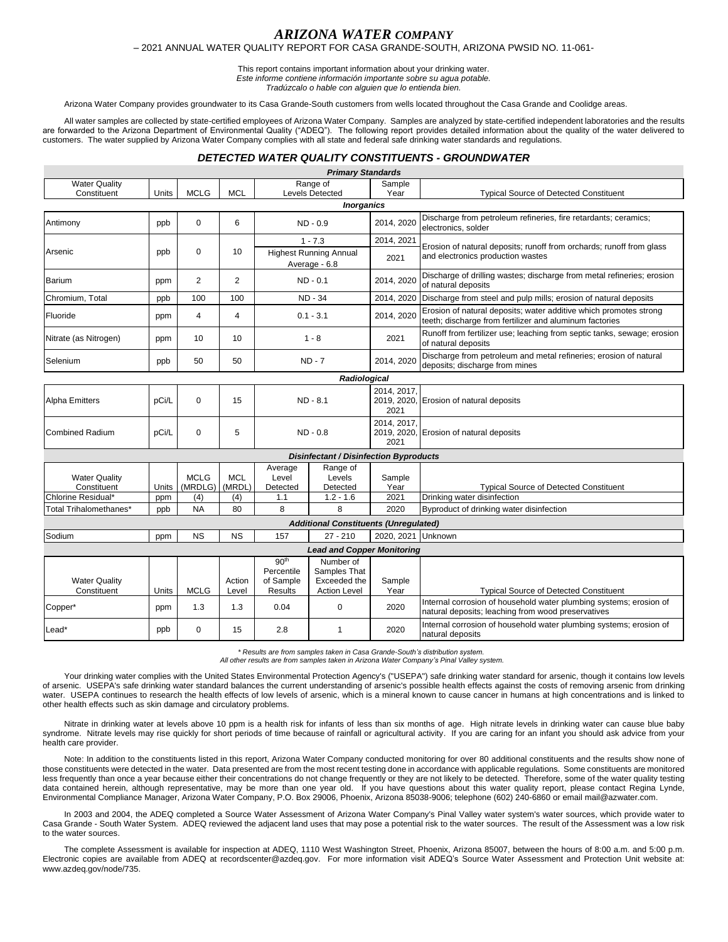# *ARIZONA WATER COMPANY*

### – 2021 ANNUAL WATER QUALITY REPORT FOR CASA GRANDE-SOUTH, ARIZONA PWSID NO. 11-061-

This report contains important information about your drinking water.

*Este informe contiene información importante sobre su agua potable.* 

*Tradúzcalo o hable con alguien que lo entienda bien.*

Arizona Water Company provides groundwater to its Casa Grande-South customers from wells located throughout the Casa Grande and Coolidge areas.

All water samples are collected by state-certified employees of Arizona Water Company. Samples are analyzed by state-certified independent laboratories and the results are forwarded to the Arizona Department of Environmental Quality ("ADEQ"). The following report provides detailed information about the quality of the water delivered to customers. The water supplied by Arizona Water Company complies with all state and federal safe drinking water standards and regulations.

## *DETECTED WATER QUALITY CONSTITUENTS - GROUNDWATER*

*Primary Standards*

| <b>Water Quality</b><br>Constituent                       | Units        | <b>MCLG</b>                   | <b>MCL</b>                  | Range of<br>Levels Detected                            |                                                                  | Sample<br>Year         | <b>Typical Source of Detected Constituent</b>                                                                                |
|-----------------------------------------------------------|--------------|-------------------------------|-----------------------------|--------------------------------------------------------|------------------------------------------------------------------|------------------------|------------------------------------------------------------------------------------------------------------------------------|
|                                                           |              |                               |                             |                                                        | <b>Inorganics</b>                                                |                        |                                                                                                                              |
| Antimony                                                  | ppb          | 0                             | 6                           | ND - 0.9                                               |                                                                  | 2014, 2020             | Discharge from petroleum refineries, fire retardants; ceramics;<br>electronics, solder                                       |
|                                                           | ppb          | 0                             | 10                          | $1 - 7.3$                                              |                                                                  | 2014, 2021             | Erosion of natural deposits; runoff from orchards; runoff from glass<br>and electronics production wastes                    |
| Arsenic                                                   |              |                               |                             | <b>Highest Running Annual</b><br>Average - 6.8         |                                                                  | 2021                   |                                                                                                                              |
| <b>Barium</b>                                             | ppm          | $\overline{2}$                | $\overline{2}$              | $ND - 0.1$                                             |                                                                  | 2014, 2020             | Discharge of drilling wastes; discharge from metal refineries; erosion<br>of natural deposits                                |
| Chromium, Total                                           | ppb          | 100                           | 100                         | <b>ND - 34</b>                                         |                                                                  | 2014, 2020             | Discharge from steel and pulp mills; erosion of natural deposits                                                             |
| Fluoride                                                  | ppm          | 4                             | 4                           | $0.1 - 3.1$                                            |                                                                  | 2014, 2020             | Erosion of natural deposits; water additive which promotes strong<br>teeth; discharge from fertilizer and aluminum factories |
| Nitrate (as Nitrogen)                                     | ppm          | 10                            | 10                          | $1 - 8$                                                |                                                                  | 2021                   | Runoff from fertilizer use; leaching from septic tanks, sewage; erosion<br>of natural deposits                               |
| Selenium                                                  | ppb          | 50                            | 50                          | $ND - 7$                                               |                                                                  | 2014, 2020             | Discharge from petroleum and metal refineries; erosion of natural<br>deposits; discharge from mines                          |
|                                                           |              |                               |                             |                                                        | Radiological                                                     |                        |                                                                                                                              |
| <b>Alpha Emitters</b>                                     | pCi/L        | 0                             | 15                          | ND - 8.1                                               |                                                                  | 2014, 2017,<br>2021    | 2019, 2020, Erosion of natural deposits                                                                                      |
| <b>Combined Radium</b>                                    | pCi/L        | 0                             | 5                           | $ND - 0.8$                                             |                                                                  | 2014, 2017,<br>2021    | 2019, 2020, Erosion of natural deposits                                                                                      |
|                                                           |              |                               |                             |                                                        | <b>Disinfectant / Disinfection Byproducts</b>                    |                        |                                                                                                                              |
| <b>Water Quality</b><br>Constituent<br>Chlorine Residual* | Units<br>ppm | <b>MCLG</b><br>(MRDLG)<br>(4) | <b>MCL</b><br>(MRDL)<br>(4) | Average<br>Level<br>Detected<br>1.1                    | Range of<br>Levels<br>Detected<br>$1.2 - 1.6$                    | Sample<br>Year<br>2021 | <b>Typical Source of Detected Constituent</b><br>Drinking water disinfection                                                 |
| Total Trihalomethanes*                                    | ppb          | <b>NA</b>                     | 80                          | 8                                                      | 8                                                                | 2020                   | Byproduct of drinking water disinfection                                                                                     |
|                                                           |              |                               |                             |                                                        | <b>Additional Constituents (Unregulated)</b>                     |                        |                                                                                                                              |
| Sodium                                                    | ppm          | <b>NS</b>                     | <b>NS</b>                   | 157                                                    | $27 - 210$                                                       | 2020, 2021             | Unknown                                                                                                                      |
|                                                           |              |                               |                             |                                                        | <b>Lead and Copper Monitoring</b>                                |                        |                                                                                                                              |
| <b>Water Quality</b><br>Constituent                       | Units        | <b>MCLG</b>                   | Action<br>Level             | 90 <sup>th</sup><br>Percentile<br>of Sample<br>Results | Number of<br>Samples That<br>Exceeded the<br><b>Action Level</b> | Sample<br>Year         | <b>Typical Source of Detected Constituent</b>                                                                                |
| Copper*                                                   | ppm          | 1.3                           | 1.3                         | 0.04                                                   | $\mathbf 0$                                                      | 2020                   | Internal corrosion of household water plumbing systems; erosion of<br>natural deposits; leaching from wood preservatives     |
| Lead*                                                     | ppb          | 0                             | 15                          | 2.8                                                    | 1                                                                | 2020                   | Internal corrosion of household water plumbing systems; erosion of<br>natural deposits                                       |

*\* Results are from samples taken in Casa Grande-South's distribution system. All other results are from samples taken in Arizona Water Company's Pinal Valley system.*

Your drinking water complies with the United States Environmental Protection Agency's ("USEPA") safe drinking water standard for arsenic, though it contains low levels of arsenic. USEPA's safe drinking water standard balances the current understanding of arsenic's possible health effects against the costs of removing arsenic from drinking water. USEPA continues to research the health effects of low levels of arsenic, which is a mineral known to cause cancer in humans at high concentrations and is linked to other health effects such as skin damage and circulatory problems.

Nitrate in drinking water at levels above 10 ppm is a health risk for infants of less than six months of age. High nitrate levels in drinking water can cause blue baby syndrome. Nitrate levels may rise quickly for short periods of time because of rainfall or agricultural activity. If you are caring for an infant you should ask advice from your health care provider.

Note: In addition to the constituents listed in this report, Arizona Water Company conducted monitoring for over 80 additional constituents and the results show none of those constituents were detected in the water. Data presented are from the most recent testing done in accordance with applicable regulations. Some constituents are monitored less frequently than once a year because either their concentrations do not change frequently or they are not likely to be detected. Therefore, some of the water quality testing data contained herein, although representative, may be more than one year old. If you have questions about this water quality report, please contact Regina Lynde, Environmental Compliance Manager, Arizona Water Company, P.O. Box 29006, Phoenix, Arizona 85038-9006; telephone (602) 240-6860 or email mail@azwater.com.

In 2003 and 2004, the ADEQ completed a Source Water Assessment of Arizona Water Company's Pinal Valley water system's water sources, which provide water to Casa Grande - South Water System. ADEQ reviewed the adjacent land uses that may pose a potential risk to the water sources. The result of the Assessment was a low risk to the water sources.

The complete Assessment is available for inspection at ADEQ, 1110 West Washington Street, Phoenix, Arizona 85007, between the hours of 8:00 a.m. and 5:00 p.m. Electronic copies are available from ADEQ at recordscenter@azdeq.gov. For more information visit ADEQ's Source Water Assessment and Protection Unit website at: www.azdeq.gov/node/735.